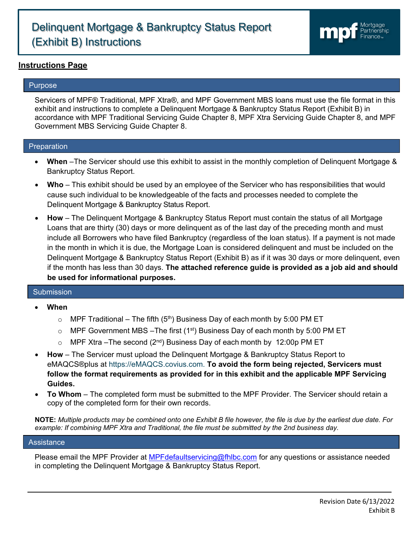# Delinquent Mortgage & Bankruptcy Status Report (Exhibit B) Instructions



### **Instructions Page**

#### Purpose

ļ

Servicers of MPF® Traditional, MPF Xtra®, and MPF Government MBS loans must use the file format in this exhibit and instructions to complete a Delinquent Mortgage & Bankruptcy Status Report (Exhibit B) in accordance with MPF Traditional Servicing Guide Chapter 8, MPF Xtra Servicing Guide Chapter 8, and MPF Government MBS Servicing Guide Chapter 8.

#### Preparation

- **When** –The Servicer should use this exhibit to assist in the monthly completion of Delinquent Mortgage & Bankruptcy Status Report.
- **Who** This exhibit should be used by an employee of the Servicer who has responsibilities that would cause such individual to be knowledgeable of the facts and processes needed to complete the Delinquent Mortgage & Bankruptcy Status Report.
- **How**  The Delinquent Mortgage & Bankruptcy Status Report must contain the status of all Mortgage Loans that are thirty (30) days or more delinquent as of the last day of the preceding month and must include all Borrowers who have filed Bankruptcy (regardless of the loan status). If a payment is not made in the month in which it is due, the Mortgage Loan is considered delinquent and must be included on the Delinquent Mortgage & Bankruptcy Status Report (Exhibit B) as if it was 30 days or more delinquent, even if the month has less than 30 days. **The attached reference guide is provided as a job aid and should be used for informational purposes.**

#### Submission

- **When** 
	- $\circ$  MPF Traditional The fifth (5<sup>th</sup>) Business Day of each month by 5:00 PM ET
	- $\circ$  MPF Government MBS -The first (1<sup>st</sup>) Business Day of each month by 5:00 PM ET
	- $\circ$  MPF Xtra –The second (2<sup>nd</sup>) Business Day of each month by 12:00p PM ET
- **How**  The Servicer must upload the Delinquent Mortgage & Bankruptcy Status Report to eMAQCS®plus at [https://eMAQCS.covius.com.](https://emaqcs.covius.com./) **To avoid the form being rejected, Servicers must follow the format requirements as provided for in this exhibit and the applicable MPF Servicing Guides.**
- **To Whom**  The completed form must be submitted to the MPF Provider. The Servicer should retain a copy of the completed form for their own records.

**NOTE:** *Multiple products may be combined onto one Exhibit B file however, the file is due by the earliest due date. For example: If combining MPF Xtra and Traditional, the file must be submitted by the 2nd business day.*

#### Assistance

Please email the MPF Provider at [MPFdefaultservicing@fhlbc.com](mailto:MPFdefaultservicing@fhlbc.com) for any questions or assistance needed in completing the Delinquent Mortgage & Bankruptcy Status Report.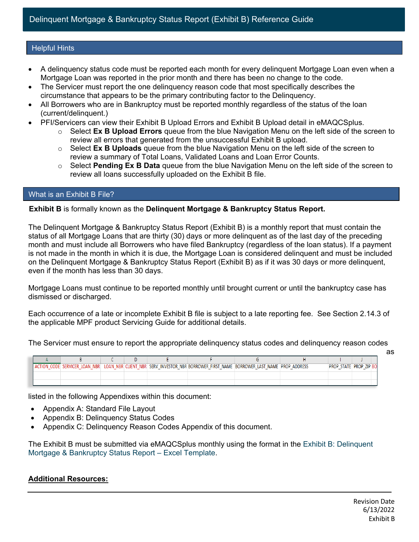#### Helpful Hints

- A delinquency status code must be reported each month for every delinquent Mortgage Loan even when a Mortgage Loan was reported in the prior month and there has been no change to the code.
- The Servicer must report the one delinquency reason code that most specifically describes the circumstance that appears to be the primary contributing factor to the Delinquency.
- All Borrowers who are in Bankruptcy must be reported monthly regardless of the status of the loan (current/delinquent.)
- PFI/Servicers can view their Exhibit B Upload Errors and Exhibit B Upload detail in eMAQCSplus.
	- o Select **Ex B Upload Errors** queue from the blue Navigation Menu on the left side of the screen to review all errors that generated from the unsuccessful Exhibit B upload.
	- o Select **Ex B Uploads** queue from the blue Navigation Menu on the left side of the screen to review a summary of Total Loans, Validated Loans and Loan Error Counts.
	- o Select **Pending Ex B Data** queue from the blue Navigation Menu on the left side of the screen to review all loans successfully uploaded on the Exhibit B file.

### What is an Exhibit B File?

#### **Exhibit B** is formally known as the **Delinquent Mortgage & Bankruptcy Status Report.**

The Delinquent Mortgage & Bankruptcy Status Report (Exhibit B) is a monthly report that must contain the status of all Mortgage Loans that are thirty (30) days or more delinquent as of the last day of the preceding month and must include all Borrowers who have filed Bankruptcy (regardless of the loan status). If a payment is not made in the month in which it is due, the Mortgage Loan is considered delinquent and must be included on the Delinquent Mortgage & Bankruptcy Status Report (Exhibit B) as if it was 30 days or more delinquent, even if the month has less than 30 days.

Mortgage Loans must continue to be reported monthly until brought current or until the bankruptcy case has dismissed or discharged.

Each occurrence of a late or incomplete Exhibit B file is subject to a late reporting fee. See Section 2.14.3 of the applicable MPF product Servicing Guide for additional details.

The Servicer must ensure to report the appropriate delinquency status codes and delinquency reason codes

 $\mathsf{D}$  $\overline{B}$  $\mathsf{C}$ E F G  $H$  $\mathbf{J}$ ACTION CODE SERVICER LOAN NBR LOAN NBR CLIENT NBR SERV INVESTOR NBR BORROWER FIRST NAME BORROWER LAST NAME PROP ADDRESS **PROP STATE PROP ZIP BO** 

listed in the following Appendixes within this document:

- Appendix A: Standard File Layout
- Appendix B: Delinquency Status Codes
- Appendix C: Delinquency Reason Codes Appendix of this document.

The Exhibit B must be submitted via eMAQCSplus monthly using the format in the [Exhibit B: Delinquent](https://www.fhlbmpf.com/docs/default-source/exhibit-b-delinquent-mortgage-bankruptcy-status-report---excel-template/exhibit-b-delinquent-mortgage-bankruptcy-status-report---excel-template.xlsx?sfvrsn=b448db78_4)  [Mortgage & Bankruptcy Status Report –](https://www.fhlbmpf.com/docs/default-source/exhibit-b-delinquent-mortgage-bankruptcy-status-report---excel-template/exhibit-b-delinquent-mortgage-bankruptcy-status-report---excel-template.xlsx?sfvrsn=b448db78_4) Excel Template.

#### **Additional Resources:**

as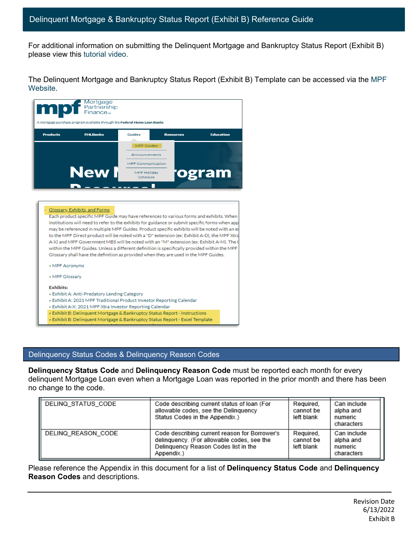For additional information on submitting the Delinquent Mortgage and Bankruptcy Status Report (Exhibit B) please view this [tutorial video.](https://register.gotowebinar.com/recording/7322222288440039439)

The Delinquent Mortgage and Bankruptcy Status Report (Exhibit B) Template can be accessed via the [MPF](https://www.fhlbmpf.com/mpf-guides/guides)  [Website.](https://www.fhlbmpf.com/mpf-guides/guides)



#### Glossary, Exhibits, and Forms

Each product specific MPF Guide may have references to various forms and exhibits. When Institutions will need to refer to the exhibits for guidance or submit specific forms when app may be referenced in multiple MPF Guides. Product specific exhibits will be noted with an e to the MPF Direct product will be noted with a "D" extension (ex: Exhibit A-D), the MPF Xtra A-X) and MPF Government MBS will be noted with an "M" extension (ex: Exhibit A-M). The ( within the MPF Guides. Unless a different definition is specifically provided within the MPF Glossary shall have the definition as provided when they are used in the MPF Guides.

» MPF Acronyms

» MPF Glossary

#### **Exhibits:**

- » Exhibit A: Anti-Predatory Lending Category
- » Exhibit A: 2021 MPF Traditional Product Investor Reporting Calendar
- » Exhibit A-X: 2021 MPF Xtra Investor Reporting Calendar
- » Exhibit B: Delinquent Mortgage & Bankruptcy Status Report Instructions
- » Exhibit B: Delinquent Mortgage & Bankruptcy Status Report Excel Template

#### Delinquency Status Codes & Delinquency Reason Codes

**Delinquency Status Code** and **Delinquency Reason Code** must be reported each month for every delinquent Mortgage Loan even when a Mortgage Loan was reported in the prior month and there has been no change to the code.

| DELINQ STATUS CODE | Code describing current status of loan (For<br>allowable codes, see the Delinguency<br>Status Codes in the Appendix.)                             | Required.<br>cannot be<br>left blank | Can include<br>alpha and<br>numeric<br>characters |
|--------------------|---------------------------------------------------------------------------------------------------------------------------------------------------|--------------------------------------|---------------------------------------------------|
| DELINQ REASON CODE | Code describing current reason for Borrower's<br>delinguency. (For allowable codes, see the<br>Delinquency Reason Codes list in the<br>Appendix.) | Required.<br>cannot be<br>left blank | Can include<br>alpha and<br>numeric<br>characters |

Please reference the Appendix in this document for a list of **Delinquency Status Code** and **Delinquency Reason Codes** and descriptions.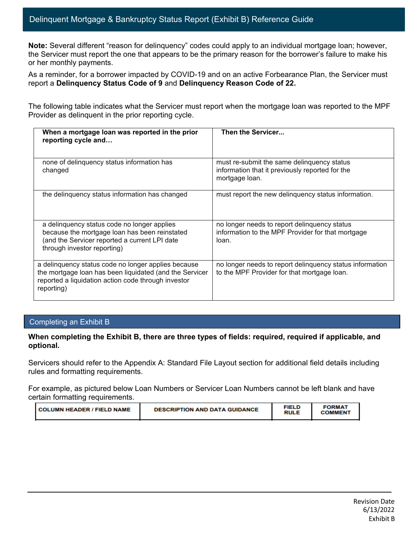**Note:** Several different "reason for delinquency" codes could apply to an individual mortgage loan; however, the Servicer must report the one that appears to be the primary reason for the borrower's failure to make his or her monthly payments.

As a reminder, for a borrower impacted by COVID-19 and on an active Forbearance Plan, the Servicer must report a **Delinquency Status Code of 9** and **Delinquency Reason Code of 22.** 

The following table indicates what the Servicer must report when the mortgage loan was reported to the MPF Provider as delinquent in the prior reporting cycle.

| When a mortgage loan was reported in the prior<br>reporting cycle and                                                                                                               | Then the Servicer                                                                                               |
|-------------------------------------------------------------------------------------------------------------------------------------------------------------------------------------|-----------------------------------------------------------------------------------------------------------------|
| none of delinquency status information has<br>changed                                                                                                                               | must re-submit the same delinguency status<br>information that it previously reported for the<br>mortgage loan. |
| the delinquency status information has changed                                                                                                                                      | must report the new delinguency status information.                                                             |
| a delinquency status code no longer applies<br>because the mortgage loan has been reinstated<br>(and the Servicer reported a current LPI date<br>through investor reporting)        | no longer needs to report delinquency status<br>information to the MPF Provider for that mortgage<br>loan.      |
| a delinquency status code no longer applies because<br>the mortgage loan has been liquidated (and the Servicer<br>reported a liquidation action code through investor<br>reporting) | no longer needs to report delinquency status information<br>to the MPF Provider for that mortgage loan.         |

#### Completing an Exhibit B

#### **When completing the Exhibit B, there are three types of fields: required, required if applicable, and optional.**

Servicers should refer to the Appendix A: [Standard](https://www.fhlbmpf.com/docs/default-source/exhibit-b-delinquent-mortgage-bankruptcy-status-report---instructions/exhibit-b-delinquent-mortgage-bankruptcy-status-report---instructions.pdf?sfvrsn=82d9c71c_8) File Layout section for additional field details including rules and formatting requirements.

For example, as pictured below Loan Numbers or Servicer Loan Numbers cannot be left blank and have certain formatting requirements.

|--|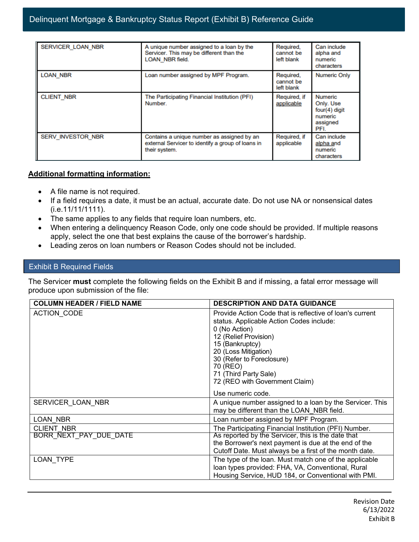| <b>SERVICER LOAN NBR</b> | A unique number assigned to a loan by the<br>Servicer. This may be different than the<br><b>LOAN NBR field.</b>  | Required,<br>cannot be<br>left blank | Can include<br>alpha and<br>numeric<br>characters                      |
|--------------------------|------------------------------------------------------------------------------------------------------------------|--------------------------------------|------------------------------------------------------------------------|
| <b>LOAN NBR</b>          | Loan number assigned by MPF Program.                                                                             | Required,<br>cannot be<br>left blank | <b>Numeric Only</b>                                                    |
| <b>CLIENT NBR</b>        | The Participating Financial Institution (PFI)<br>Number.                                                         | Required, if<br>applicable           | Numeric<br>Only. Use<br>$four(4)$ digit<br>numeric<br>assigned<br>PFI. |
| SERV INVESTOR NBR        | Contains a unique number as assigned by an<br>external Servicer to identify a group of loans in<br>their system. | Required, if<br>applicable           | Can include<br>alpha and<br>numeric<br>characters                      |

#### **Additional formatting information:**

- A file name is not required.
- If a field requires a date, it must be an actual, accurate date. Do not use NA or nonsensical dates (i.e.11/11/1111).
- The same applies to any fields that require loan numbers, etc.
- When entering a delinquency Reason Code, only one code should be provided. If multiple reasons apply, select the one that best explains the cause of the borrower's hardship.
- Leading zeros on loan numbers or Reason Codes should not be included.

#### Exhibit B Required Fields

The Servicer **must** complete the following fields on the Exhibit B and if missing, a fatal error message will produce upon submission of the file:

| <b>COLUMN HEADER / FIELD NAME</b> | <b>DESCRIPTION AND DATA GUIDANCE</b>                                                                                                                                                                                                                                                                               |
|-----------------------------------|--------------------------------------------------------------------------------------------------------------------------------------------------------------------------------------------------------------------------------------------------------------------------------------------------------------------|
| ACTION_CODE                       | Provide Action Code that is reflective of loan's current<br>status. Applicable Action Codes include:<br>0 (No Action)<br>12 (Relief Provision)<br>15 (Bankruptcy)<br>20 (Loss Mitigation)<br>30 (Refer to Foreclosure)<br>70 (REO)<br>71 (Third Party Sale)<br>72 (REO with Government Claim)<br>Use numeric code. |
| SERVICER LOAN NBR                 | A unique number assigned to a loan by the Servicer. This<br>may be different than the LOAN NBR field.                                                                                                                                                                                                              |
| LOAN NBR                          | Loan number assigned by MPF Program.                                                                                                                                                                                                                                                                               |
| <b>CLIENT NBR</b>                 | The Participating Financial Institution (PFI) Number.                                                                                                                                                                                                                                                              |
| BORR NEXT PAY DUE DATE            | As reported by the Servicer, this is the date that<br>the Borrower's next payment is due at the end of the<br>Cutoff Date. Must always be a first of the month date.                                                                                                                                               |
| LOAN TYPE                         | The type of the loan. Must match one of the applicable<br>Ioan types provided: FHA, VA, Conventional, Rural<br>Housing Service, HUD 184, or Conventional with PMI.                                                                                                                                                 |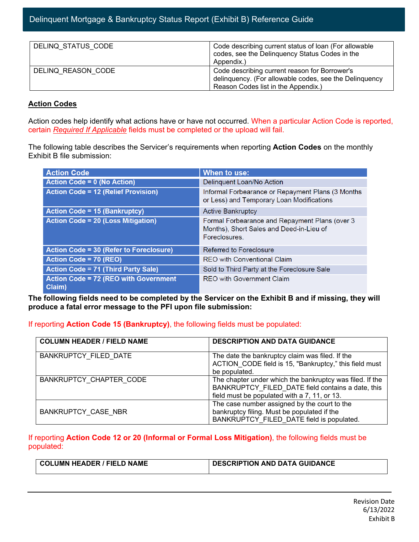| DELINQ STATUS CODE | Code describing current status of loan (For allowable<br>codes, see the Delinquency Status Codes in the<br>Appendix.)                          |
|--------------------|------------------------------------------------------------------------------------------------------------------------------------------------|
| DELINQ REASON CODE | Code describing current reason for Borrower's<br>delinquency. (For allowable codes, see the Delinquency<br>Reason Codes list in the Appendix.) |

#### **Action Codes**

Action codes help identify what actions have or have not occurred. When a particular Action Code is reported, certain *Required If Applicable* fields must be completed or the upload will fail.

The following table describes the Servicer's requirements when reporting **Action Codes** on the monthly Exhibit B file submission:

| <b>Action Code</b>                                     | When to use:                                                                                                |
|--------------------------------------------------------|-------------------------------------------------------------------------------------------------------------|
| <b>Action Code = 0 (No Action)</b>                     | Delinquent Loan/No Action                                                                                   |
| <b>Action Code = 12 (Relief Provision)</b>             | Informal Forbearance or Repayment Plans (3 Months<br>or Less) and Temporary Loan Modifications              |
| <b>Action Code = 15 (Bankruptcy)</b>                   | <b>Active Bankruptcy</b>                                                                                    |
| <b>Action Code = 20 (Loss Mitigation)</b>              | Formal Forbearance and Repayment Plans (over 3<br>Months), Short Sales and Deed-in-Lieu of<br>Foreclosures. |
| <b>Action Code = 30 (Refer to Foreclosure)</b>         | Referred to Foreclosure                                                                                     |
| Action Code = 70 (REO)                                 | <b>REO</b> with Conventional Claim                                                                          |
| <b>Action Code = 71 (Third Party Sale)</b>             | Sold to Third Party at the Foreclosure Sale                                                                 |
| <b>Action Code = 72 (REO with Government</b><br>Claim) | <b>REO</b> with Government Claim                                                                            |

**The following fields need to be completed by the Servicer on the Exhibit B and if missing, they will produce a fatal error message to the PFI upon file submission:**

#### If reporting **Action Code 15 (Bankruptcy)**, the following fields must be populated:

| <b>COLUMN HEADER / FIELD NAME</b> | <b>DESCRIPTION AND DATA GUIDANCE</b>                                                                                                                          |
|-----------------------------------|---------------------------------------------------------------------------------------------------------------------------------------------------------------|
| <b>BANKRUPTCY FILED DATE</b>      | The date the bankruptcy claim was filed. If the<br>ACTION CODE field is 15, "Bankruptcy," this field must<br>be populated.                                    |
| BANKRUPTCY CHAPTER CODE           | The chapter under which the bankruptcy was filed. If the<br>BANKRUPTCY FILED DATE field contains a date, this<br>field must be populated with a 7, 11, or 13. |
| BANKRUPTCY CASE NBR               | The case number assigned by the court to the<br>bankruptcy filing. Must be populated if the<br>BANKRUPTCY FILED DATE field is populated.                      |

#### If reporting **Action Code 12 or 20 (Informal or Formal Loss Mitigation)**, the following fields must be populated:

| COLUMN HEADER / FIELD NAME | DESCRIPTION AND DATA GUIDANCE |
|----------------------------|-------------------------------|
|                            |                               |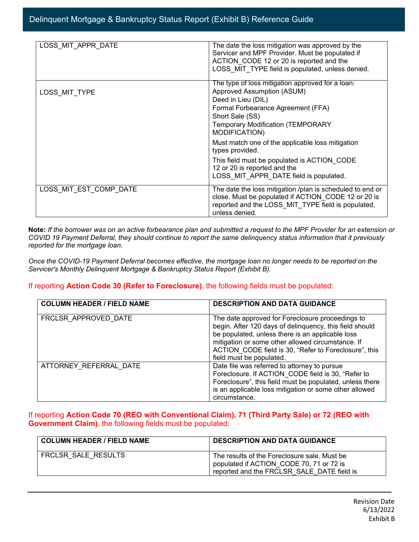| LOSS MIT APPR DATE     | The date the loss mitigation was approved by the          |
|------------------------|-----------------------------------------------------------|
|                        | Servicer and MPF Provider. Must be populated if           |
|                        | ACTION CODE 12 or 20 is reported and the                  |
|                        | LOSS MIT TYPE field is populated, unless denied.          |
|                        |                                                           |
|                        | The type of loss mitigation approved for a loan:          |
| LOSS MIT TYPE          | Approved Assumption (ASUM)                                |
|                        | Deed in Lieu (DIL)                                        |
|                        | Formal Forbearance Agreement (FFA)                        |
|                        | Short Sale (SS)                                           |
|                        | <b>Temporary Modification (TEMPORARY</b>                  |
|                        | MODIFICATION)                                             |
|                        | Must match one of the applicable loss mitigation          |
|                        | types provided.                                           |
|                        | This field must be populated is ACTION_CODE               |
|                        | 12 or 20 is reported and the                              |
|                        | LOSS MIT APPR DATE field is populated.                    |
|                        |                                                           |
| LOSS MIT EST COMP DATE | The date the loss mitigation /plan is scheduled to end or |
|                        | close. Must be populated if ACTION CODE 12 or 20 is       |
|                        | reported and the LOSS MIT TYPE field is populated,        |
|                        | unless denied.                                            |

**Note:** *If the borrower was on an active forbearance plan and submitted a request to the MPF Provider for an extension or COVID 19 Payment Deferral, they should continue to report the same delinquency status information that it previously reported for the mortgage loan.*

*Once the COVID-19 Payment Deferral becomes effective, the mortgage loan no longer needs to be reported on the Servicer's Monthly Delinquent Mortgage & Bankruptcy Status Report (Exhibit B).*

#### If reporting **Action Code 30 (Refer to Foreclosure)**, the following fields must be populated:

| <b>COLUMN HEADER / FIELD NAME</b> | <b>DESCRIPTION AND DATA GUIDANCE</b>                                                                                                                                                                                                                                                                      |
|-----------------------------------|-----------------------------------------------------------------------------------------------------------------------------------------------------------------------------------------------------------------------------------------------------------------------------------------------------------|
| FRCLSR APPROVED DATE              | The date approved for Foreclosure proceedings to<br>begin. After 120 days of delinquency, this field should<br>be populated, unless there is an applicable loss<br>mitigation or some other allowed circumstance. If<br>ACTION CODE field is 30, "Refer to Foreclosure", this<br>field must be populated. |
| ATTORNEY REFERRAL DATE            | Date file was referred to attorney to pursue<br>Foreclosure. If ACTION_CODE field is 30, "Refer to<br>Foreclosure", this field must be populated, unless there<br>is an applicable loss mitigation or some other allowed<br>circumstance.                                                                 |

#### If reporting **Action Code 70 (REO with Conventional Claim), 71 (Third Party Sale) or 72 (REO with Government Claim)**, the following fields must be populated:

| <b>COLUMN HEADER / FIELD NAME</b> | <b>DESCRIPTION AND DATA GUIDANCE</b>                                                                                                   |
|-----------------------------------|----------------------------------------------------------------------------------------------------------------------------------------|
| FRCLSR SALE RESULTS               | The results of the Foreclosure sale. Must be<br>populated if ACTION CODE 70, 71 or 72 is<br>reported and the FRCLSR SALE DATE field is |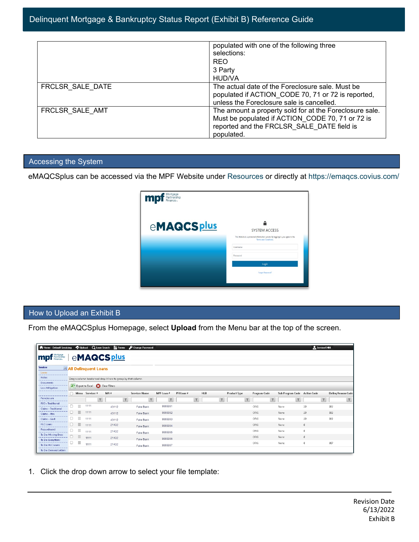|                  | populated with one of the following three<br>selections:                                                                                                                |
|------------------|-------------------------------------------------------------------------------------------------------------------------------------------------------------------------|
|                  | <b>REO</b>                                                                                                                                                              |
|                  | 3 Party                                                                                                                                                                 |
|                  | <b>HUD/VA</b>                                                                                                                                                           |
| FRCLSR SALE DATE | The actual date of the Foreclosure sale. Must be<br>populated if ACTION CODE 70, 71 or 72 is reported,<br>unless the Foreclosure sale is cancelled.                     |
| FRCLSR SALE AMT  | The amount a property sold for at the Foreclosure sale.<br>Must be populated if ACTION_CODE 70, 71 or 72 is<br>reported and the FRCLSR SALE DATE field is<br>populated. |

## Accessing the System

eMAQCSplus can be accessed via the MPF Website under [Resources](https://www.fhlbmpf.com/resources/emaqcs-plus) or directly at<https://emaqcs.covius.com/>

| Ω<br><b>SYSTEM ACCESS</b><br>This Website is a protected information system. By logging in, you agree to the |
|--------------------------------------------------------------------------------------------------------------|
| Terms and Conditions.<br>Username<br>Password                                                                |
| Login<br>Forgot Password?                                                                                    |
|                                                                                                              |

### How to Upload an Exhibit B

From the eMAQCSplus Homepage, select **Upload** from the Menu bar at the top of the screen.

| Home - Default Servicing                        |   | <b>M</b> Upload |                               | Q Loan Search<br>$\mathbf{B}$ Forms                           |                | Change Password      |                         |            |        |            |        |                     |                         |                         |      |              | Servicer5488                 |     |                           |
|-------------------------------------------------|---|-----------------|-------------------------------|---------------------------------------------------------------|----------------|----------------------|-------------------------|------------|--------|------------|--------|---------------------|-------------------------|-------------------------|------|--------------|------------------------------|-----|---------------------------|
| Mortgage<br>Partnership<br><b>mpt</b> Partnersh |   |                 |                               | eMAQCS <sub>plus</sub>                                        |                |                      |                         |            |        |            |        |                     |                         |                         |      |              |                              |     |                           |
| <b>Servicer</b>                                 |   |                 | <b>E All Delinquent Loans</b> |                                                               |                |                      |                         |            |        |            |        |                     |                         |                         |      |              |                              |     |                           |
| Loans                                           |   |                 |                               |                                                               |                |                      |                         |            |        |            |        |                     |                         |                         |      |              |                              |     |                           |
| Notes                                           |   |                 |                               | Drag a column header and drop it here to group by that column |                |                      |                         |            |        |            |        |                     |                         |                         |      |              |                              |     |                           |
| Documents                                       |   |                 |                               | <b>X</b> Export to Excel <b>CO</b> Clear Filters              |                |                      |                         |            |        |            |        |                     |                         |                         |      |              |                              |     |                           |
| <b>Loss Mitigation</b>                          |   |                 |                               |                                                               |                |                      |                         |            |        |            |        |                     |                         |                         |      |              |                              |     |                           |
|                                                 |   |                 | □ Menu Servicer #             | $MA$ #                                                        |                | <b>Servicer Name</b> | MPF Loan #              | PFI Loan # |        | <b>HLB</b> |        | <b>Product Type</b> |                         | Program Code            |      |              | Sub Program Code Action Code |     | <b>Deling Reason Code</b> |
| Foreclosure                                     |   |                 |                               | $\overline{r}$                                                | $\overline{r}$ | $\overline{r}$       | $\overline{\mathsf{T}}$ |            | $\top$ |            | $\top$ |                     | $\overline{\mathbf{r}}$ | $\overline{\mathsf{T}}$ |      | $\mathbb{F}$ | $\top$                       |     | $\top$                    |
| <b>REO - Traditional</b>                        |   | Ξ               | 1111                          | 43112                                                         |                | Fake Bank            | 9999991                 |            |        |            |        |                     |                         | ORIG                    | None |              | 20                           | 022 |                           |
| <b>Claims - Traditional</b>                     |   | $\equiv$        | 1111                          | 43112                                                         |                | Fake Bank            | 9999992                 |            |        |            |        |                     |                         | ORIG                    | None |              | 20                           | 022 |                           |
| Claims - Xtra                                   |   | Ξ               |                               |                                                               |                |                      |                         |            |        |            |        |                     |                         |                         |      |              |                              |     |                           |
| Claims - Govt                                   | U |                 | 1111                          | 43112                                                         |                | Fake Bank            | 9999993                 |            |        |            |        |                     |                         | ORIG                    | None |              | 20                           | 022 |                           |
| <b>HLC Loans</b>                                | U | $\equiv$        | 1111                          | 21432                                                         |                | Fake Bank            | 9999994                 |            |        |            |        |                     |                         | ORIG                    | None |              | $\theta$                     |     |                           |
| Repurchased                                     |   | Ξ               | 1111                          | 21432                                                         |                | Fake Bank            | 9999995                 |            |        |            |        |                     |                         | ORIG                    | None |              | $\theta$                     |     |                           |
| To Do: Missing Docs                             |   | $\equiv$        | 1111                          | 21432                                                         |                |                      |                         |            |        |            |        |                     |                         | ORIG                    | None |              | $\theta$                     |     |                           |
| To Do: Exceptions                               |   | Ξ               |                               |                                                               |                | Fake Bank            | 9999996                 |            |        |            |        |                     |                         | ORIG                    | None |              | $\theta$                     | 007 |                           |
| To Do: HLC Loans                                |   |                 | 1111                          | 21432                                                         |                | Fake Bank            | 9999997                 |            |        |            |        |                     |                         |                         |      |              |                              |     |                           |
| To Do: Demand Letters                           |   |                 |                               |                                                               |                |                      |                         |            |        |            |        |                     |                         |                         |      |              |                              |     |                           |

1. Click the drop down arrow to select your file template: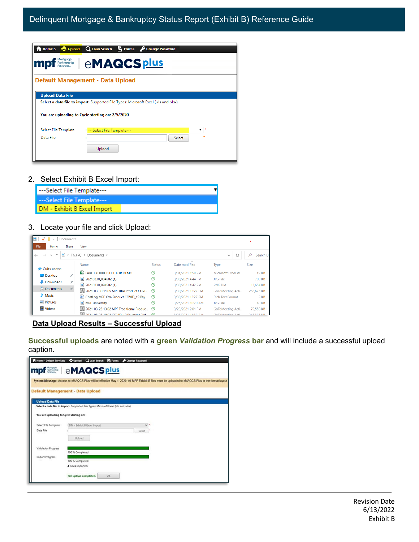| mp                                                           | <b>Earthership   eMAQCS plus</b>                                                    |
|--------------------------------------------------------------|-------------------------------------------------------------------------------------|
|                                                              |                                                                                     |
|                                                              | Default Management - Data Upload                                                    |
|                                                              |                                                                                     |
|                                                              |                                                                                     |
|                                                              | Select a data file to import. Supported File Types: Microsoft Excel (xls and .xlsx) |
|                                                              |                                                                                     |
|                                                              | You are uploading to Cycle starting on: 2/5/2020                                    |
|                                                              |                                                                                     |
|                                                              | ---Select File Template---<br>▼                                                     |
| <b>Upload Data File</b><br>Select File Template<br>Data File | Select                                                                              |

#### 2. Select Exhibit B Excel Import:

| ---Select File Template---  |  |
|-----------------------------|--|
| ---Select File Template---  |  |
| DM - Exhibit B Excel Import |  |

#### 3. Locate your file and click Upload:

| Documents<br>$\overline{ }$ |                                                     |               |                    |                                             |              |
|-----------------------------|-----------------------------------------------------|---------------|--------------------|---------------------------------------------|--------------|
| File<br>Share<br>Home       | <b>View</b>                                         |               |                    |                                             |              |
|                             | This PC $\rightarrow$ Documents $\rightarrow$       |               |                    | $\checkmark$                                | Search D     |
|                             | Name                                                | <b>Status</b> | Date modified      | <b>Type</b>                                 | <b>Size</b>  |
| <b>Duick access</b>         |                                                     |               |                    |                                             |              |
| $\Box$ Desktop<br>×         | <b>DE FAKE EXHIBIT B FILE FOR DEMO</b>              | ⊘             | 3/31/2021 1:59 PM  | Microsoft Excel W                           | <b>19 KB</b> |
|                             | $\left  \right $ 20210330 094502 (1)                | の             | 3/30/2021 4:44 PM  | JPG File                                    | 709 KB       |
| Downloads<br>÷              | $\blacktriangleright$ 20210330 094502 (1)           | ⊘             | 3/30/2021 4:42 PM  | <b>PNG File</b>                             | 13,654 KB    |
| Documents                   | 2021-03-30 11.05 MPF Xtra Product COVI              | ⊘             | 3/30/2021 12:27 PM | GoToMeeting Acti                            | 256,675 KB   |
| $M$ Music                   | <sup>Ma</sup> ChatLog MPF Xtra Product COVID 19 Pav | ⊙             | 3/30/2021 12:27 PM | <b>Rich Text Format</b>                     | 2 KB         |
| $\blacksquare$ Pictures     | MPF University                                      | ⊘             | 3/25/2021 10:20 AM | <b>JPG File</b>                             | <b>40 KB</b> |
| Videos                      | 88 2021-03-23 13.02 MPF Traditional Produc ⊙        |               | 3/23/2021 2:01 PM  | GoToMeeting Acti                            | 79.558 KB    |
|                             | $\frac{1}{2}$ 2021 02:23:40:02:00 UUD 10:00 UUL Def | $\sim$        | $2022021 + 4.256$  | $C = T = 0$ $A = 0$ and $A = 0$ and $A = 0$ | 340.367.160  |

### **Data Upload Results – Successful Upload**

**Successful uploads** are noted with a **green** *Validation Progress* **bar** and will include a successful upload caption.



Revision Date 6/13/2022 Exhibit B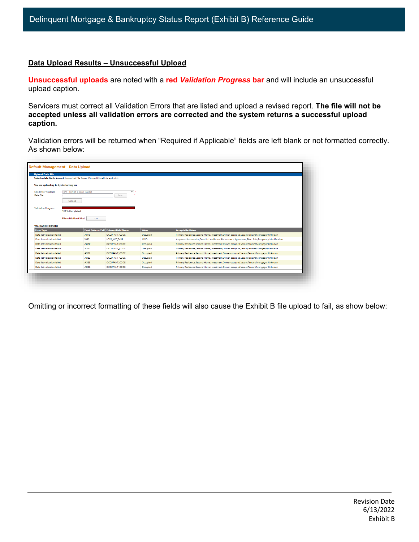## **Data Upload Results – Unsuccessful Upload**

**Unsuccessful uploads** are noted with a **red** *Validation Progress* **bar** and will include an unsuccessful upload caption.

Servicers must correct all Validation Errors that are listed and upload a revised report. **The file will not be accepted unless all validation errors are corrected and the system returns a successful upload caption.**

Validation errors will be returned when "Required if Applicable" fields are left blank or not formatted correctly. As shown below:

| <b>Upload Data File</b><br>Select a data file to import. Supported File Types: Microsoft Excel (.xls and .xlsx) |                                |             |                                     |            |                                                                                                    |
|-----------------------------------------------------------------------------------------------------------------|--------------------------------|-------------|-------------------------------------|------------|----------------------------------------------------------------------------------------------------|
| You are uploading to Cycle starting on:                                                                         |                                |             |                                     |            |                                                                                                    |
| Select File Template<br>Data File                                                                               | DM - Exhibit B Excel Import    |             | $\nabla x$<br>Select                |            |                                                                                                    |
|                                                                                                                 | <b>Upload</b>                  |             |                                     |            |                                                                                                    |
| <b>Validation Progress</b>                                                                                      | 100 % Completed                |             |                                     |            |                                                                                                    |
|                                                                                                                 | <b>File validation failed.</b> | OK          |                                     |            |                                                                                                    |
|                                                                                                                 |                                |             |                                     |            |                                                                                                    |
|                                                                                                                 |                                |             |                                     |            |                                                                                                    |
| <b>VALIDATION ERRORS</b><br><b>Error Type</b>                                                                   |                                |             | Excel Column/Cell Column/Field Name | Value      | <b>Acceptable Values</b>                                                                           |
| Data list validation failed                                                                                     |                                | AO79        | OCCUPANT_CODE                       | Occupied   | Primary Residence, Second Home, Investment, Owner-occupied, Vacant, Tentant, Mortgagor, Unknown    |
|                                                                                                                 |                                | W80         | LOSS_MIT_TYPE                       | <b>MOD</b> | Approved Assumption, Deed in Lieu, Formal Forbearance Agreement Short Sale, Temporary Modification |
| Data list validation failed<br>Data list validation failed                                                      |                                | AO80        | OCCUPANT_CODE                       | Occupied   | Primary Residence Second Home Investment Owner-occupied Vacant Tentant Mortgagor Unknown           |
| Data list validation failed                                                                                     |                                | <b>AO81</b> | OCCUPANT_CODE                       | Occupied   | Primary Residence Second Home Investment Owner-occupied Vacant Tentant Mortgagor Unknown           |
| Data list validation failed                                                                                     |                                | AO82        | OCCUPANT_CODE                       | Occupied   | Primary Residence Second Home Investment Owner-occupied Vacant Tentant Mortgagor Unknown           |
| Data list validation failed                                                                                     |                                | <b>AO83</b> | OCCUPANT_CODE                       | Occupied   | Primary Residence Second Home Investment Owner-occupied Vacant Tentant Mortgagor Unknown           |
| Data list validation failed                                                                                     |                                | <b>AO85</b> | OCCUPANT_CODE                       | Occupied   | Primary Residence Second Home Investment Owner-occupied Vacant Tentant Mortgagor Unknown           |

Omitting or incorrect formatting of these fields will also cause the Exhibit B file upload to fail, as show below: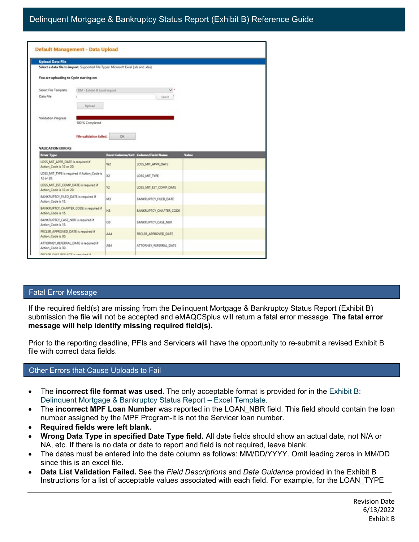| <b>Upload Data File</b>                                                                                                        |                |                                     |       |
|--------------------------------------------------------------------------------------------------------------------------------|----------------|-------------------------------------|-------|
| Select a data file to import. Supported File Types: Microsoft Excel (Jds and Jdss)                                             |                |                                     |       |
| You are uploading to Cycle starting on:                                                                                        |                |                                     |       |
| DM - Exhibit B Excel Import<br>Select File Template                                                                            |                | v.                                  |       |
| Data File                                                                                                                      |                | Select                              |       |
| Upload                                                                                                                         |                |                                     |       |
|                                                                                                                                |                |                                     |       |
| Validation Progress<br>100 % Completed                                                                                         |                |                                     |       |
|                                                                                                                                |                |                                     |       |
| File validation failed.                                                                                                        | OK             |                                     |       |
|                                                                                                                                |                |                                     |       |
|                                                                                                                                |                |                                     |       |
|                                                                                                                                |                |                                     |       |
| <b>VALIDATION ERRORS</b><br><b>Error Type</b>                                                                                  |                | Excel Column/Cell Column/Field Name | Value |
| LOSS_MIT_APPR_DATE is required if<br>Action. Code is 12 or 20.                                                                 | W2             | LOSS_MIT_APPR_DATE                  |       |
|                                                                                                                                | X2             | LOSS MIT TYPE                       |       |
| LOSS_MIT_TYPE is required if Action_Code is<br>12 or 20.<br>LOSS_MIT_EST_COMP_DATE is required if<br>Action. Code is 12 or 20. | V <sub>2</sub> | LOSS_MIT_EST_COMP_DATE              |       |
|                                                                                                                                | M3             | BANKRUPTCY FILED DATE               |       |
| BANKRUPTCY_FILED_DATE is required if<br>Action. Code is 15.<br>BANKRUPTCY_CHAPTER_CODE is required if<br>Action. Code is 15.   | N3             | BANKRUPTCY_CHAPTER_CODE             |       |
| BANKRUPTCY_CASE_NBR is required if<br>Action, Code is 15.                                                                      | Ö3             | <b>BANKRUPTCY CASE NBR</b>          |       |
| FRCLSR_APPROVED_DATE is required if<br>Action, Code is 30.                                                                     | AA4            | FRCLSR_APPROVED_DATE                |       |

#### Fatal Error Message

If the required field(s) are missing from the Delinquent Mortgage & Bankruptcy Status Report (Exhibit B) submission the file will not be accepted and eMAQCSplus will return a fatal error message. **The fatal error message will help identify missing required field(s).**

Prior to the reporting deadline, PFIs and Servicers will have the opportunity to re-submit a revised Exhibit B file with correct data fields.

#### Other Errors that Cause Uploads to Fail

- The **incorrect file format was used**. The only acceptable format is provided for in the [Exhibit B:](https://www.fhlbmpf.com/docs/default-source/exhibit-b-delinquent-mortgage-bankruptcy-status-report---excel-template/exhibit-b-delinquent-mortgage-bankruptcy-status-report---excel-template.xlsx?sfvrsn=b448db78_4)  [Delinquent Mortgage & Bankruptcy Status Report –](https://www.fhlbmpf.com/docs/default-source/exhibit-b-delinquent-mortgage-bankruptcy-status-report---excel-template/exhibit-b-delinquent-mortgage-bankruptcy-status-report---excel-template.xlsx?sfvrsn=b448db78_4) Excel Template.
- The **incorrect MPF Loan Number** was reported in the LOAN\_NBR field. This field should contain the loan number assigned by the MPF Program-it is not the Servicer loan number.
- **Required fields were left blank.**
- **Wrong Data Type in specified Date Type field.** All date fields should show an actual date, not N/A or NA, etc. If there is no data or date to report and field is not required, leave blank.
- The dates must be entered into the date column as follows: MM/DD/YYYY. Omit leading zeros in MM/DD since this is an excel file.
- **Data List Validation Failed.** See the *Field Descriptions* and *Data Guidance* provided in the Exhibit B Instructions for a list of acceptable values associated with each field. For example, for the LOAN\_TYPE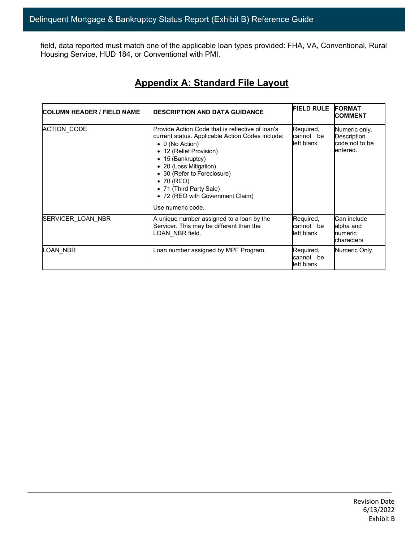field, data reported must match one of the applicable loan types provided: FHA, VA, Conventional, Rural Housing Service, HUD 184, or Conventional with PMI.

# **Appendix A: Standard File Layout**

| <b>COLUMN HEADER / FIELD NAME</b> | <b>IDESCRIPTION AND DATA GUIDANCE</b>                                                                                                                                                                                                                                                                                                      | <b>FIELD RULE</b>                    | <b>IFORMAT</b><br><b>COMMENT</b>                           |
|-----------------------------------|--------------------------------------------------------------------------------------------------------------------------------------------------------------------------------------------------------------------------------------------------------------------------------------------------------------------------------------------|--------------------------------------|------------------------------------------------------------|
| <b>ACTION CODE</b>                | Provide Action Code that is reflective of loan's<br>current status. Applicable Action Codes include:<br>$\bullet$ 0 (No Action)<br>• 12 (Relief Provision)<br>• 15 (Bankruptcy)<br>• 20 (Loss Mitigation)<br>• 30 (Refer to Foreclosure)<br>• 70 (REO)<br>• 71 (Third Party Sale)<br>• 72 (REO with Government Claim)<br>Use numeric code. | Required,<br>cannot be<br>left blank | Numeric only.<br>Description<br>code not to be<br>entered. |
| SERVICER_LOAN_NBR                 | A unique number assigned to a loan by the<br>Servicer. This may be different than the<br>_OAN_NBR field.                                                                                                                                                                                                                                   | Required,<br>cannot be<br>left blank | Can include<br>alpha and<br>numeric<br>characters          |
| LOAN NBR                          | oan number assigned by MPF Program.                                                                                                                                                                                                                                                                                                        | Required,<br>cannot be<br>left blank | Numeric Only                                               |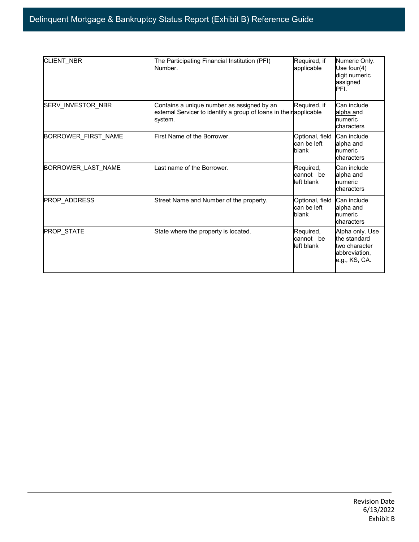| CLIENT_NBR                | The Participating Financial Institution (PFI)<br>Number.                                                                    | Required, if<br>applicable              | Numeric Only.<br>Use four(4)<br>digit numeric<br>assigned<br>PFI.                  |
|---------------------------|-----------------------------------------------------------------------------------------------------------------------------|-----------------------------------------|------------------------------------------------------------------------------------|
| SERV_INVESTOR_NBR         | Contains a unique number as assigned by an<br>external Servicer to identify a group of loans in their applicable<br>system. | Required, if                            | Can include<br>alpha and<br>numeric<br>characters                                  |
| BORROWER_FIRST_NAME       | First Name of the Borrower.                                                                                                 | Optional, field<br>can be left<br>blank | Can include<br>alpha and<br>numeric<br>characters                                  |
| <b>BORROWER LAST NAME</b> | Last name of the Borrower.                                                                                                  | Required,<br>cannot be<br>left blank    | Can include<br>alpha and<br>numeric<br>characters                                  |
| <b>PROP ADDRESS</b>       | Street Name and Number of the property.                                                                                     | Optional, field<br>can be left<br>blank | Can include<br>alpha and<br>numeric<br>characters                                  |
| <b>PROP STATE</b>         | State where the property is located.                                                                                        | Required,<br>cannot be<br>left blank    | Alpha only. Use<br>the standard<br>two character<br>abbreviation,<br>e.g., KS, CA. |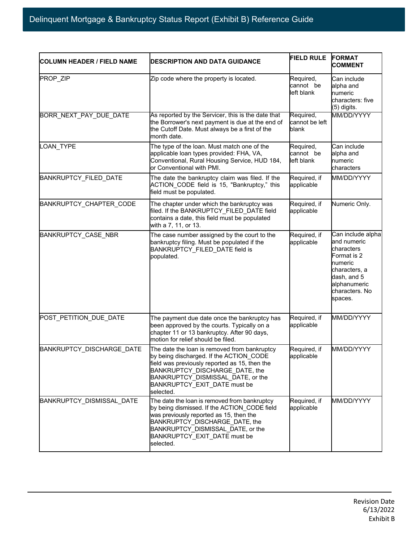| <b>COLUMN HEADER / FIELD NAME</b> | <b>IDESCRIPTION AND DATA GUIDANCE</b>                                                                                                                                                                                                                        | <b>FIELD RULE</b>                    | <b>FORMAT</b><br><b>COMMENT</b>                                                                                                                       |
|-----------------------------------|--------------------------------------------------------------------------------------------------------------------------------------------------------------------------------------------------------------------------------------------------------------|--------------------------------------|-------------------------------------------------------------------------------------------------------------------------------------------------------|
| PROP ZIP                          | Zip code where the property is located.                                                                                                                                                                                                                      | Required,<br>cannot be<br>left blank | Can include<br>alpha and<br>numeric<br>characters: five<br>(5) digits.                                                                                |
| BORR_NEXT_PAY_DUE_DATE            | As reported by the Servicer, this is the date that<br>the Borrower's next payment is due at the end of<br>the Cutoff Date. Must always be a first of the<br>month date.                                                                                      | Required,<br>cannot be left<br>blank | MM/DD/YYYY                                                                                                                                            |
| LOAN_TYPE                         | The type of the loan. Must match one of the<br>applicable loan types provided: FHA, VA,<br>Conventional, Rural Housing Service, HUD 184,<br>or Conventional with PMI.                                                                                        | Required,<br>cannot be<br>left blank | Can include<br>alpha and<br>numeric<br>characters                                                                                                     |
| BANKRUPTCY_FILED_DATE             | The date the bankruptcy claim was filed. If the<br>ACTION CODE field is 15, "Bankruptcy," this<br>field must be populated.                                                                                                                                   | Required, if<br>applicable           | MM/DD/YYYY                                                                                                                                            |
| BANKRUPTCY_CHAPTER_CODE           | The chapter under which the bankruptcy was<br>filed. If the BANKRUPTCY FILED DATE field<br>contains a date, this field must be populated<br>with a 7, 11, or 13.                                                                                             | Required, if<br>applicable           | Numeric Only.                                                                                                                                         |
| BANKRUPTCY_CASE_NBR               | The case number assigned by the court to the<br>bankruptcy filing. Must be populated if the<br>BANKRUPTCY_FILED_DATE field is<br>populated.                                                                                                                  | Required, if<br>applicable           | Can include alpha<br>and numeric<br>characters<br>Format is 2<br>numeric<br>characters, a<br>dash, and 5<br>alphanumeric<br>characters. No<br>spaces. |
| POST_PETITION_DUE_DATE            | The payment due date once the bankruptcy has<br>been approved by the courts. Typically on a<br>chapter 11 or 13 bankruptcy. After 90 days,<br>motion for relief should be filed.                                                                             | Required, if<br>applicable           | MM/DD/YYYY                                                                                                                                            |
| <b>BANKRUPTCY DISCHARGE DATE</b>  | The date the loan is removed from bankruptcy<br>by being discharged. If the ACTION_CODE<br>field was previously reported as 15, then the<br>BANKRUPTCY DISCHARGE DATE, the<br>BANKRUPTCY_DISMISSAL_DATE, or the<br>BANKRUPTCY EXIT DATE must be<br>selected. | Required, if<br>applicable           | MM/DD/YYYY                                                                                                                                            |
| BANKRUPTCY_DISMISSAL_DATE         | The date the loan is removed from bankruptcy<br>by being dismissed. If the ACTION CODE field<br>was previously reported as 15, then the<br>BANKRUPTCY_DISCHARGE_DATE, the<br>BANKRUPTCY DISMISSAL DATE, or the<br>BANKRUPTCY_EXIT_DATE must be<br>selected.  | Required, if<br>applicable           | MM/DD/YYYY                                                                                                                                            |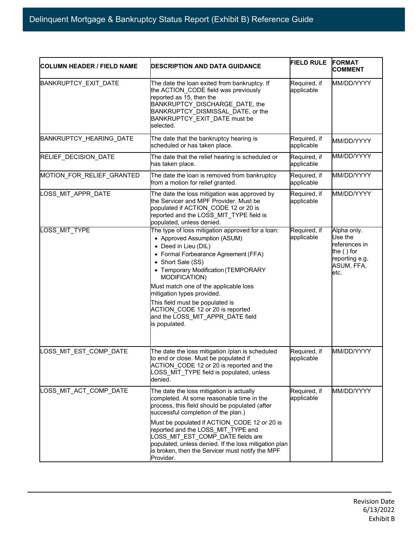| <b>COLUMN HEADER / FIELD NAME</b> | <b>IDESCRIPTION AND DATA GUIDANCE</b>                                                                                                                                                                                                                                                                                                                                                                                               | <b>FIELD RULE</b>          | <b>FORMAT</b><br><b>COMMENT</b>                                                                |
|-----------------------------------|-------------------------------------------------------------------------------------------------------------------------------------------------------------------------------------------------------------------------------------------------------------------------------------------------------------------------------------------------------------------------------------------------------------------------------------|----------------------------|------------------------------------------------------------------------------------------------|
| BANKRUPTCY_EXIT_DATE              | The date the loan exited from bankruptcy. If<br>the ACTION_CODE field was previously<br>reported as 15, then the<br>BANKRUPTCY DISCHARGE DATE, the<br>BANKRUPTCY DISMISSAL DATE, or the<br>BANKRUPTCY_EXIT_DATE must be<br>selected.                                                                                                                                                                                                | Required, if<br>applicable | MM/DD/YYYY                                                                                     |
| BANKRUPTCY_HEARING_DATE           | The date that the bankruptcy hearing is<br>scheduled or has taken place.                                                                                                                                                                                                                                                                                                                                                            | Required, if<br>applicable | MM/DD/YYYY                                                                                     |
| RELIEF_DECISION_DATE              | The date that the relief hearing is scheduled or<br>has taken place.                                                                                                                                                                                                                                                                                                                                                                | Required, if<br>applicable | MM/DD/YYYY                                                                                     |
| MOTION_FOR_RELIEF_GRANTED         | The date the loan is removed from bankruptcy<br>from a motion for relief granted.                                                                                                                                                                                                                                                                                                                                                   | Required, if<br>applicable | MM/DD/YYYY                                                                                     |
| LOSS_MIT_APPR_DATE                | The date the loss mitigation was approved by<br>the Servicer and MPF Provider. Must be<br>populated if ACTION CODE 12 or 20 is<br>reported and the LOSS_MIT_TYPE field is<br>populated, unless denied.                                                                                                                                                                                                                              | Required, if<br>applicable | MM/DD/YYYY                                                                                     |
| LOSS MIT TYPE                     | The type of loss mitigation approved for a loan:<br>• Approved Assumption (ASUM)<br>• Deed in Lieu (DIL)<br>• Formal Forbearance Agreement (FFA)<br>• Short Sale (SS)<br>• Temporary Modification (TEMPORARY<br>MODIFICATION)<br>Must match one of the applicable loss<br>mitigation types provided.<br>This field must be populated is<br>ACTION CODE 12 or 20 is reported<br>and the LOSS_MIT_APPR_DATE field<br>is populated.    | Required, if<br>applicable | Alpha only.<br>Use the<br>references in<br>the () for<br>reporting e.g.<br>ASUM, FFA,<br>letc. |
| OSS_MIT_EST_COMP_DATE             | The date the loss mitigation /plan is scheduled<br>to end or close. Must be populated if<br>ACTION CODE 12 or 20 is reported and the<br>LOSS MIT_TYPE field is populated, unless<br>denied.                                                                                                                                                                                                                                         | Required, if<br>applicable | MM/DD/YYYY                                                                                     |
| LOSS_MIT_ACT_COMP_DATE            | The date the loss mitigation is actually<br>completed. At some reasonable time in the<br>process, this field should be populated (after<br>successful completion of the plan.)<br>Must be populated if ACTION_CODE 12 or 20 is<br>reported and the LOSS MIT TYPE and<br>LOSS_MIT_EST_COMP_DATE fields are<br>populated, unless denied. If the loss mitigation plan<br>is broken, then the Servicer must notify the MPF<br>Provider. | Required, if<br>applicable | MM/DD/YYYY                                                                                     |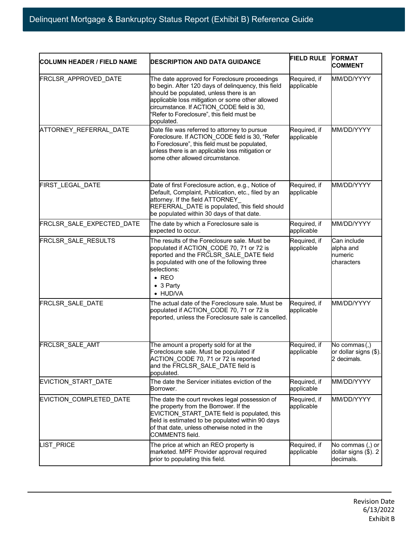| <b>COLUMN HEADER / FIELD NAME</b> | <b>IDESCRIPTION AND DATA GUIDANCE</b>                                                                                                                                                                                                                                                                        | <b>FIELD RULE</b>          | <b>FORMAT</b><br><b>COMMENT</b>                       |
|-----------------------------------|--------------------------------------------------------------------------------------------------------------------------------------------------------------------------------------------------------------------------------------------------------------------------------------------------------------|----------------------------|-------------------------------------------------------|
| FRCLSR_APPROVED_DATE              | The date approved for Foreclosure proceedings<br>to begin. After 120 days of delinquency, this field<br>should be populated, unless there is an<br>applicable loss mitigation or some other allowed<br>circumstance. If ACTION CODE field is 30,<br>'Refer to Foreclosure", this field must be<br>populated. | Required, if<br>applicable | MM/DD/YYYY                                            |
| ATTORNEY REFERRAL DATE            | Date file was referred to attorney to pursue<br>Foreclosure. If ACTION CODE field is 30, "Refer<br>to Foreclosure", this field must be populated,<br>unless there is an applicable loss mitigation or<br>some other allowed circumstance.                                                                    | Required, if<br>applicable | MM/DD/YYYY                                            |
| FIRST_LEGAL_DATE                  | Date of first Foreclosure action, e.g., Notice of<br>Default, Complaint, Publication, etc., filed by an<br>attorney. If the field ATTORNEY<br>REFERRAL DATE is populated, this field should<br>be populated within 30 days of that date.                                                                     | Required, if<br>applicable | MM/DD/YYYY                                            |
| FRCLSR_SALE_EXPECTED_DATE         | The date by which a Foreclosure sale is<br>expected to occur.                                                                                                                                                                                                                                                | Required, if<br>applicable | MM/DD/YYYY                                            |
| FRCLSR_SALE_RESULTS               | The results of the Foreclosure sale. Must be<br>populated if ACTION_CODE 70, 71 or 72 is<br>reported and the FRCLSR_SALE_DATE field<br>is populated with one of the following three<br>selections:<br>$\bullet$ REO<br>$\bullet$ 3 Party<br>• HUD/VA                                                         | Required, if<br>applicable | Can include<br>alpha and<br>numeric<br>characters     |
| FRCLSR_SALE_DATE                  | The actual date of the Foreclosure sale. Must be<br>populated if ACTION CODE 70, 71 or 72 is<br>reported, unless the Foreclosure sale is cancelled.                                                                                                                                                          | Required, if<br>applicable | MM/DD/YYYY                                            |
| FRCLSR_SALE_AMT                   | The amount a property sold for at the<br>Foreclosure sale. Must be populated if<br>ACTION_CODE 70, 71 or 72 is reported<br>and the FRCLSR SALE DATE field is<br>populated.                                                                                                                                   | Required, if<br>applicable | No commas (,)<br>or dollar signs (\$).<br>2 decimals. |
| EVICTION START DATE               | The date the Servicer initiates eviction of the<br>Borrower.                                                                                                                                                                                                                                                 | Required, if<br>applicable | MM/DD/YYYY                                            |
| EVICTION_COMPLETED_DATE           | The date the court revokes legal possession of<br>the property from the Borrower. If the<br>EVICTION START DATE field is populated, this<br>field is estimated to be populated within 90 days<br>of that date, unless otherwise noted in the<br>COMMENTS field.                                              | Required, if<br>applicable | MM/DD/YYYY                                            |
| LIST_PRICE                        | The price at which an REO property is<br>marketed. MPF Provider approval required<br>prior to populating this field.                                                                                                                                                                                         | Required, if<br>applicable | No commas (,) or<br>dollar signs (\$). 2<br>decimals. |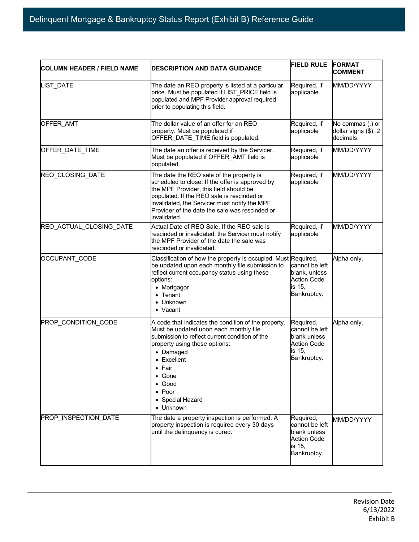| <b>COLUMN HEADER / FIELD NAME</b> | <b>DESCRIPTION AND DATA GUIDANCE</b>                                                                                                                                                                                                                                                                                   | <b>FIELD RULE</b>                                                                          | <b>FORMAT</b><br><b>COMMENT</b>                       |
|-----------------------------------|------------------------------------------------------------------------------------------------------------------------------------------------------------------------------------------------------------------------------------------------------------------------------------------------------------------------|--------------------------------------------------------------------------------------------|-------------------------------------------------------|
| LIST_DATE                         | The date an REO property is listed at a particular<br>price. Must be populated if LIST PRICE field is<br>populated and MPF Provider approval required<br>prior to populating this field.                                                                                                                               | Required, if<br>applicable                                                                 | MM/DD/YYYY                                            |
| OFFER AMT                         | The dollar value of an offer for an REO<br>property. Must be populated if<br>OFFER_DATE_TIME field is populated.                                                                                                                                                                                                       | Required, if<br>applicable                                                                 | No commas (,) or<br>dollar signs (\$). 2<br>decimals. |
| OFFER DATE TIME                   | The date an offer is received by the Servicer.<br>Must be populated if OFFER AMT field is<br>populated.                                                                                                                                                                                                                | Required, if<br>applicable                                                                 | MM/DD/YYYY                                            |
| REO_CLOSING_DATE                  | The date the REO sale of the property is<br>scheduled to close. If the offer is approved by<br>the MPF Provider, this field should be<br>populated. If the REO sale is rescinded or<br>invalidated, the Servicer must notify the MPF<br>Provider of the date the sale was rescinded or<br>invalidated.                 | Required, if<br>applicable                                                                 | MM/DD/YYYY                                            |
| REO_ACTUAL_CLOSING_DATE           | Actual Date of REO Sale. If the REO sale is<br>rescinded or invalidated, the Servicer must notify<br>the MPF Provider of the date the sale was<br>rescinded or invalidated.                                                                                                                                            | Required, if<br>applicable                                                                 | MM/DD/YYYY                                            |
| OCCUPANT_CODE                     | Classification of how the property is occupied. Must Required,<br>be updated upon each monthly file submission to<br>reflect current occupancy status using these<br>options:<br>• Mortgagor<br>$\bullet$ Tenant<br>• Unknown<br>• Vacant                                                                              | cannot be left<br>blank, unless<br><b>Action Code</b><br>is 15,<br>Bankruptcy.             | Alpha only.                                           |
| PROP_CONDITION_CODE               | A code that indicates the condition of the property.<br>Must be updated upon each monthly file<br>submission to reflect current condition of the<br>property using these options:<br>• Damaged<br>• Excellent<br>$\bullet$ Fair<br>$\bullet$ Gone<br>$\bullet$ Good<br>$\bullet$ Poor<br>• Special Hazard<br>• Unknown | Required,<br>cannot be left<br>blank unless<br><b>Action Code</b><br>is 15,<br>Bankruptcy. | Alpha only.                                           |
| PROP_INSPECTION_DATE              | The date a property inspection is performed. A<br>property inspection is required every 30 days<br>until the delinquency is cured.                                                                                                                                                                                     | Required,<br>cannot be left<br>blank unless<br><b>Action Code</b><br>is 15,<br>Bankruptcy. | MM/DD/YYYY                                            |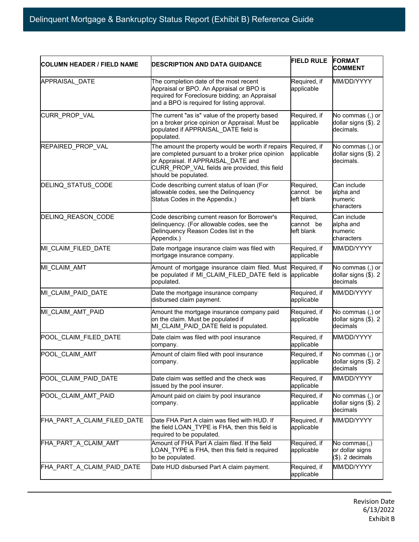| <b>COLUMN HEADER / FIELD NAME</b> | <b>DESCRIPTION AND DATA GUIDANCE</b>                                                                                                                                                                                  | <b>FIELD RULE</b>                    | <b>FORMAT</b><br><b>COMMENT</b>                       |  |
|-----------------------------------|-----------------------------------------------------------------------------------------------------------------------------------------------------------------------------------------------------------------------|--------------------------------------|-------------------------------------------------------|--|
| APPRAISAL_DATE                    | The completion date of the most recent<br>Appraisal or BPO. An Appraisal or BPO is<br>required for Foreclosure bidding; an Appraisal<br>and a BPO is required for listing approval.                                   | Required, if<br>applicable           | MM/DD/YYYY                                            |  |
| CURR_PROP_VAL                     | The current "as is" value of the property based<br>on a broker price opinion or Appraisal. Must be<br>populated if APPRAISAL_DATE field is<br>populated.                                                              | Required, if<br>applicable           | No commas (,) or<br>dollar signs (\$). 2<br>decimals. |  |
| REPAIRED PROP VAL                 | The amount the property would be worth if repairs<br>are completed pursuant to a broker price opinion<br>or Appraisal. If APPRAISAL DATE and<br>CURR_PROP_VAL fields are provided, this field<br>should be populated. | Required, if<br>applicable           | No commas (,) or<br>dollar signs (\$). 2<br>decimals. |  |
| DELINQ_STATUS_CODE                | Code describing current status of loan (For<br>allowable codes, see the Delinquency<br>Status Codes in the Appendix.)                                                                                                 | Required,<br>cannot be<br>left blank | Can include<br>alpha and<br>numeric<br>characters     |  |
| DELINQ REASON CODE                | Code describing current reason for Borrower's<br>delinquency. (For allowable codes, see the<br>Delinquency Reason Codes list in the<br>Appendix.)                                                                     | Required,<br>cannot be<br>left blank | Can include<br>alpha and<br>numeric<br>characters     |  |
| MI_CLAIM_FILED_DATE               | Date mortgage insurance claim was filed with<br>mortgage insurance company.                                                                                                                                           | Required, if<br>applicable           | MM/DD/YYYY                                            |  |
| MI_CLAIM_AMT                      | Amount of mortgage insurance claim filed. Must<br>be populated if MI_CLAIM_FILED_DATE field is<br>populated.                                                                                                          | Required, if<br>applicable           | No commas (,) or<br>dollar signs (\$). 2<br>decimals  |  |
| MI_CLAIM_PAID_DATE                | Date the mortgage insurance company<br>disbursed claim payment.                                                                                                                                                       | Required, if<br>applicable           | MM/DD/YYYY                                            |  |
| MI_CLAIM_AMT_PAID                 | Amount the mortgage insurance company paid<br>on the claim. Must be populated if<br>MI_CLAIM_PAID_DATE field is populated.                                                                                            | Required, if<br>applicable           | No commas (,) or<br>dollar signs (\$). 2<br>decimals  |  |
| POOL_CLAIM_FILED_DATE             | Date claim was filed with pool insurance<br>company.                                                                                                                                                                  | Required, if<br>applicable           | MM/DD/YYYY                                            |  |
| POOL_CLAIM_AMT                    | Amount of claim filed with pool insurance<br>company.                                                                                                                                                                 | Required, if<br>applicable           | No commas (,) or<br>dollar signs (\$). 2<br>decimals  |  |
| POOL CLAIM PAID DATE              | Date claim was settled and the check was<br>issued by the pool insurer.                                                                                                                                               | Required, if<br>applicable           | MM/DD/YYYY                                            |  |
| POOL CLAIM AMT PAID               | Amount paid on claim by pool insurance<br>company.                                                                                                                                                                    | Required, if<br>applicable           | No commas (,) or<br>dollar signs (\$). 2<br>decimals  |  |
| FHA_PART_A_CLAIM_FILED_DATE       | Date FHA Part A claim was filed with HUD. If<br>the field LOAN_TYPE is FHA, then this field is<br>required to be populated.                                                                                           | Required, if<br>applicable           | MM/DD/YYYY                                            |  |
| FHA PART A CLAIM AMT              | Amount of FHA Part A claim filed. If the field<br>_OAN_TYPE is FHA, then this field is required<br>to be populated.                                                                                                   | Required, if<br>applicable           | No commas(,)<br>or dollar signs<br>(\$). 2 decimals   |  |
| FHA_PART_A_CLAIM_PAID_DATE        | Date HUD disbursed Part A claim payment.                                                                                                                                                                              | Required, if<br>applicable           | MM/DD/YYYY                                            |  |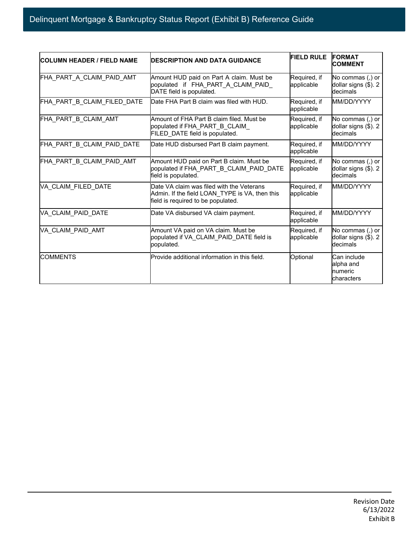| <b>COLUMN HEADER / FIELD NAME</b> | <b>IDESCRIPTION AND DATA GUIDANCE</b>                                                                                             | <b>FIELD RULE</b>          | <b>FORMAT</b><br><b>COMMENT</b>                      |
|-----------------------------------|-----------------------------------------------------------------------------------------------------------------------------------|----------------------------|------------------------------------------------------|
| FHA PART A CLAIM PAID AMT         | Amount HUD paid on Part A claim. Must be<br>populated if FHA PART A CLAIM PAID<br>DATE field is populated.                        | Required, if<br>applicable | No commas (,) or<br>dollar signs (\$). 2<br>decimals |
| FHA_PART_B_CLAIM_FILED_DATE       | Date FHA Part B claim was filed with HUD.                                                                                         | Required, if<br>applicable | MM/DD/YYYY                                           |
| FHA PART B CLAIM AMT              | Amount of FHA Part B claim filed. Must be<br>populated if FHA_PART_B_CLAIM_<br>FILED_DATE field is populated.                     | Required, if<br>applicable | No commas (,) or<br>dollar signs (\$). 2<br>decimals |
| FHA_PART_B_CLAIM_PAID_DATE        | Date HUD disbursed Part B claim payment.                                                                                          | Required, if<br>applicable | MM/DD/YYYY                                           |
| FHA_PART_B_CLAIM_PAID_AMT         | Amount HUD paid on Part B claim. Must be<br>populated if FHA_PART_B_CLAIM_PAID_DATE<br>field is populated.                        | Required, if<br>applicable | No commas (,) or<br>dollar signs (\$). 2<br>decimals |
| VA CLAIM FILED DATE               | Date VA claim was filed with the Veterans<br>Admin. If the field LOAN TYPE is VA, then this<br>field is required to be populated. | Required, if<br>applicable | MM/DD/YYYY                                           |
| VA CLAIM PAID DATE                | Date VA disbursed VA claim payment.                                                                                               | Required, if<br>applicable | MM/DD/YYYY                                           |
| VA CLAIM PAID AMT                 | Amount VA paid on VA claim. Must be<br>populated if VA_CLAIM_PAID_DATE field is<br>populated.                                     | Required, if<br>applicable | No commas (,) or<br>dollar signs (\$). 2<br>decimals |
| <b>COMMENTS</b>                   | Provide additional information in this field.                                                                                     | Optional                   | Can include<br>alpha and<br>numeric<br>characters    |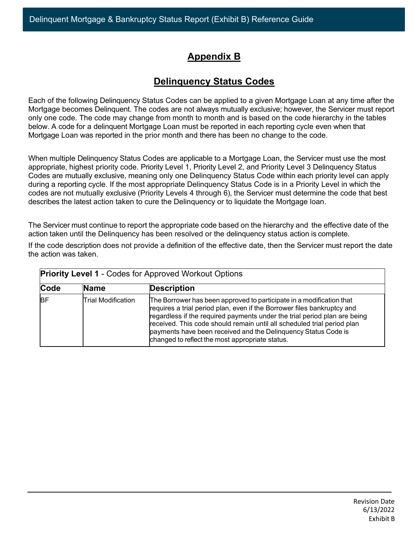# **Appendix B**

# **Delinquency Status Codes**

Each of the following Delinquency Status Codes can be applied to a given Mortgage Loan at any time after the Mortgage becomes Delinquent. The codes are not always mutually exclusive; however, the Servicer must report only one code. The code may change from month to month and is based on the code hierarchy in the tables below. A code for a delinquent Mortgage Loan must be reported in each reporting cycle even when that Mortgage Loan was reported in the prior month and there has been no change to the code.

When multiple Delinquency Status Codes are applicable to a Mortgage Loan, the Servicer must use the most appropriate, highest priority code. Priority Level 1, Priority Level 2, and Priority Level 3 Delinquency Status Codes are mutually exclusive, meaning only one Delinquency Status Code within each priority level can apply during a reporting cycle. If the most appropriate Delinquency Status Code is in a Priority Level in which the codes are not mutually exclusive (Priority Levels 4 through 6), the Servicer must determine the code that best describes the latest action taken to cure the Delinquency or to liquidate the Mortgage loan.

The Servicer must continue to report the appropriate code based on the hierarchy and the effective date of the action taken until the Delinquency has been resolved or the delinquency status action is complete.

If the code description does not provide a definition of the effective date, then the Servicer must report the date the action was taken.

| <b>Priority Level 1 - Codes for Approved Workout Options</b> |                    |                                                                                                                                                                                                                                                                                                                                                                                                                              |  |
|--------------------------------------------------------------|--------------------|------------------------------------------------------------------------------------------------------------------------------------------------------------------------------------------------------------------------------------------------------------------------------------------------------------------------------------------------------------------------------------------------------------------------------|--|
| Code                                                         | <b>Name</b>        | <b>Description</b>                                                                                                                                                                                                                                                                                                                                                                                                           |  |
| <b>BF</b>                                                    | Trial Modification | The Borrower has been approved to participate in a modification that<br>requires a trial period plan, even if the Borrower files bankruptcy and<br>regardless if the required payments under the trial period plan are being<br>received. This code should remain until all scheduled trial period plan<br>payments have been received and the Delinguency Status Code is<br>changed to reflect the most appropriate status. |  |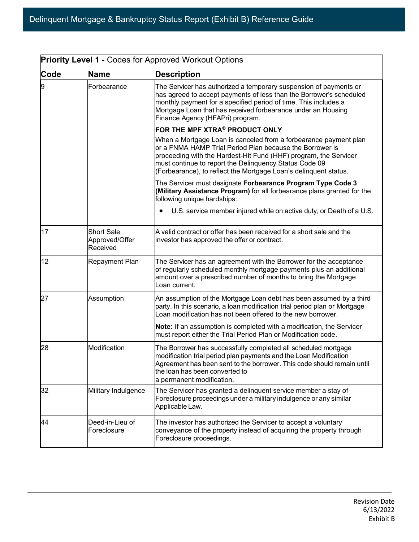| Code | Name                                            | <b>Description</b>                                                                                                                                                                                                                                                                                                             |
|------|-------------------------------------------------|--------------------------------------------------------------------------------------------------------------------------------------------------------------------------------------------------------------------------------------------------------------------------------------------------------------------------------|
| 9    | Forbearance                                     | The Servicer has authorized a temporary suspension of payments or<br>has agreed to accept payments of less than the Borrower's scheduled<br>monthly payment for a specified period of time. This includes a<br>Mortgage Loan that has received forbearance under an Housing<br>Finance Agency (HFAPri) program.                |
|      |                                                 | FOR THE MPF XTRA® PRODUCT ONLY                                                                                                                                                                                                                                                                                                 |
|      |                                                 | When a Mortgage Loan is canceled from a forbearance payment plan<br>or a FNMA HAMP Trial Period Plan because the Borrower is<br>proceeding with the Hardest-Hit Fund (HHF) program, the Servicer<br>must continue to report the Delinquency Status Code 09<br>(Forbearance), to reflect the Mortgage Loan's delinquent status. |
|      |                                                 | The Servicer must designate Forbearance Program Type Code 3<br>(Military Assistance Program) for all forbearance plans granted for the<br>following unique hardships:                                                                                                                                                          |
|      |                                                 | U.S. service member injured while on active duty, or Death of a U.S.                                                                                                                                                                                                                                                           |
| 17   | <b>Short Sale</b><br>Approved/Offer<br>Received | A valid contract or offer has been received for a short sale and the<br>investor has approved the offer or contract.                                                                                                                                                                                                           |
| 12   | Repayment Plan                                  | The Servicer has an agreement with the Borrower for the acceptance<br>of regularly scheduled monthly mortgage payments plus an additional<br>amount over a prescribed number of months to bring the Mortgage<br>Loan current.                                                                                                  |
| 27   | Assumption                                      | An assumption of the Mortgage Loan debt has been assumed by a third<br>party. In this scenario, a loan modification trial period plan or Mortgage<br>Loan modification has not been offered to the new borrower.                                                                                                               |
|      |                                                 | Note: If an assumption is completed with a modification, the Servicer<br>must report either the Trial Period Plan or Modification code.                                                                                                                                                                                        |
| 28   | Modification                                    | The Borrower has successfully completed all scheduled mortgage<br>modification trial period plan payments and the Loan Modification<br>Agreement has been sent to the borrower. This code should remain until<br>the loan has been converted to<br>a permanent modification.                                                   |
| 32   | Military Indulgence                             | The Servicer has granted a delinquent service member a stay of<br>Foreclosure proceedings under a military indulgence or any similar<br>Applicable Law.                                                                                                                                                                        |
| 44   | Deed-in-Lieu of<br>Foreclosure                  | The investor has authorized the Servicer to accept a voluntary<br>conveyance of the property instead of acquiring the property through<br>Foreclosure proceedings.                                                                                                                                                             |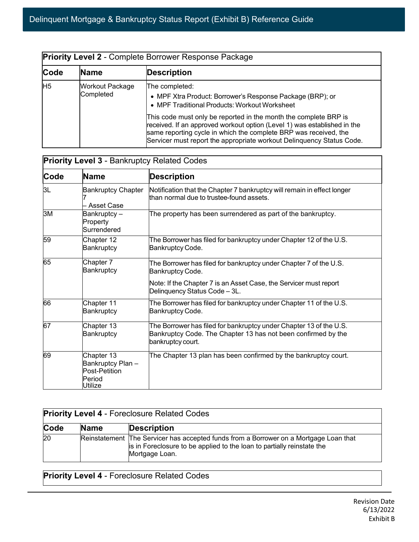| <b>Priority Level 2 - Complete Borrower Response Package</b> |                              |                                                                                                                                                                                                                       |  |
|--------------------------------------------------------------|------------------------------|-----------------------------------------------------------------------------------------------------------------------------------------------------------------------------------------------------------------------|--|
| Code                                                         | <b>Name</b>                  | <b>Description</b>                                                                                                                                                                                                    |  |
| H <sub>5</sub>                                               | Workout Package<br>Completed | The completed:<br>• MPF Xtra Product: Borrower's Response Package (BRP); or<br>• MPF Traditional Products: Workout Worksheet<br>This code must only be reported in the month the complete BRP is                      |  |
|                                                              |                              | received. If an approved workout option (Level 1) was established in the<br>same reporting cycle in which the complete BRP was received, the<br>Servicer must report the appropriate workout Delinquency Status Code. |  |

|      | <b>Priority Level 3 - Bankruptcy Related Codes</b>                    |                                                                                                                                                                                             |  |  |
|------|-----------------------------------------------------------------------|---------------------------------------------------------------------------------------------------------------------------------------------------------------------------------------------|--|--|
| Code | <b>Name</b>                                                           | <b>Description</b>                                                                                                                                                                          |  |  |
| 3L   | <b>Bankruptcy Chapter</b><br>- Asset Case                             | Notification that the Chapter 7 bankruptcy will remain in effect longer<br>than normal due to trustee-found assets.                                                                         |  |  |
| 3M   | Bankruptcy-<br>Property<br>Surrendered                                | The property has been surrendered as part of the bankruptcy.                                                                                                                                |  |  |
| 59   | Chapter 12<br>Bankruptcy                                              | The Borrower has filed for bankruptcy under Chapter 12 of the U.S.<br>Bankruptcy Code.                                                                                                      |  |  |
| 65   | Chapter 7<br>Bankruptcy                                               | The Borrower has filed for bankruptcy under Chapter 7 of the U.S.<br>Bankruptcy Code.<br>Note: If the Chapter 7 is an Asset Case, the Servicer must report<br>Delinquency Status Code - 3L. |  |  |
| 66   | Chapter 11<br>Bankruptcy                                              | The Borrower has filed for bankruptcy under Chapter 11 of the U.S.<br>Bankruptcy Code.                                                                                                      |  |  |
| 67   | Chapter 13<br>Bankruptcy                                              | The Borrower has filed for bankruptcy under Chapter 13 of the U.S.<br>Bankruptcy Code. The Chapter 13 has not been confirmed by the<br>bankruptcy court.                                    |  |  |
| 69   | Chapter 13<br>Bankruptcy Plan -<br>Post-Petition<br>Period<br>Utilize | The Chapter 13 plan has been confirmed by the bankruptcy court.                                                                                                                             |  |  |

| <b>Priority Level 4 - Foreclosure Related Codes</b> |             |                                                                                                                                                                                   |
|-----------------------------------------------------|-------------|-----------------------------------------------------------------------------------------------------------------------------------------------------------------------------------|
| Code                                                | <b>Name</b> | <b>Description</b>                                                                                                                                                                |
| $\overline{20}$                                     |             | Reinstatement The Servicer has accepted funds from a Borrower on a Mortgage Loan that<br>is in Foreclosure to be applied to the loan to partially reinstate the<br>Mortgage Loan. |

**Priority Level 4** - Foreclosure Related Codes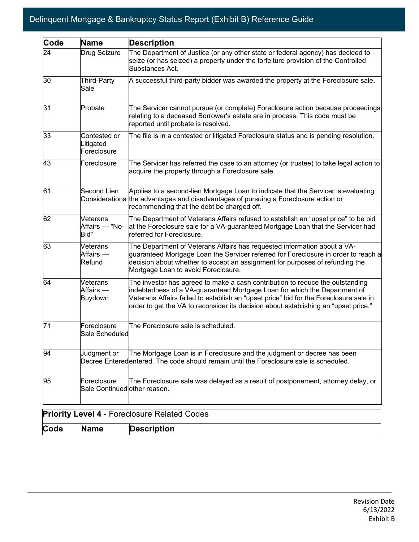| Code | Name                                        | <b>Description</b>                                                                                                                                                                                                                                                                                                                         |
|------|---------------------------------------------|--------------------------------------------------------------------------------------------------------------------------------------------------------------------------------------------------------------------------------------------------------------------------------------------------------------------------------------------|
| 24   | Drug Seizure                                | The Department of Justice (or any other state or federal agency) has decided to<br>seize (or has seized) a property under the forfeiture provision of the Controlled<br>Substances Act.                                                                                                                                                    |
| 30   | Third-Party<br>Sale                         | A successful third-party bidder was awarded the property at the Foreclosure sale.                                                                                                                                                                                                                                                          |
| 31   | Probate                                     | The Servicer cannot pursue (or complete) Foreclosure action because proceedings<br>relating to a deceased Borrower's estate are in process. This code must be<br>reported until probate is resolved.                                                                                                                                       |
| 33   | Contested or<br>_itigated<br>Foreclosure    | The file is in a contested or litigated Foreclosure status and is pending resolution.                                                                                                                                                                                                                                                      |
| 43   | Foreclosure                                 | The Servicer has referred the case to an attorney (or trustee) to take legal action to<br>acquire the property through a Foreclosure sale.                                                                                                                                                                                                 |
| 61   | Second Lien<br>Considerations               | Applies to a second-lien Mortgage Loan to indicate that the Servicer is evaluating<br>the advantages and disadvantages of pursuing a Foreclosure action or<br>recommending that the debt be charged off.                                                                                                                                   |
| 62   | Veterans<br>Affairs — "No-<br>Bid"          | The Department of Veterans Affairs refused to establish an "upset price" to be bid<br>at the Foreclosure sale for a VA-guaranteed Mortgage Loan that the Servicer had<br>referred for Foreclosure.                                                                                                                                         |
| 63   | Veterans<br>Affairs —<br>Refund             | The Department of Veterans Affairs has requested information about a VA-<br>guaranteed Mortgage Loan the Servicer referred for Foreclosure in order to reach a<br>decision about whether to accept an assignment for purposes of refunding the<br>Mortgage Loan to avoid Foreclosure.                                                      |
| 64   | Veterans<br>Affairs —<br><b>Buydown</b>     | The investor has agreed to make a cash contribution to reduce the outstanding<br>indebtedness of a VA-guaranteed Mortgage Loan for which the Department of<br>Veterans Affairs failed to establish an "upset price" bid for the Foreclosure sale in<br>order to get the VA to reconsider its decision about establishing an "upset price." |
| 71   | Foreclosure<br>Sale Scheduled               | The Foreclosure sale is scheduled.                                                                                                                                                                                                                                                                                                         |
| 94   | Judgment or                                 | The Mortgage Loan is in Foreclosure and the judgment or decree has been<br>Decree Enteredentered. The code should remain until the Foreclosure sale is scheduled.                                                                                                                                                                          |
| 95   | Foreclosure<br>Sale Continued other reason. | The Foreclosure sale was delayed as a result of postponement, attorney delay, or                                                                                                                                                                                                                                                           |
|      |                                             | <b>Priority Level 4 - Foreclosure Related Codes</b>                                                                                                                                                                                                                                                                                        |
| Code | <b>Name</b>                                 | <b>Description</b>                                                                                                                                                                                                                                                                                                                         |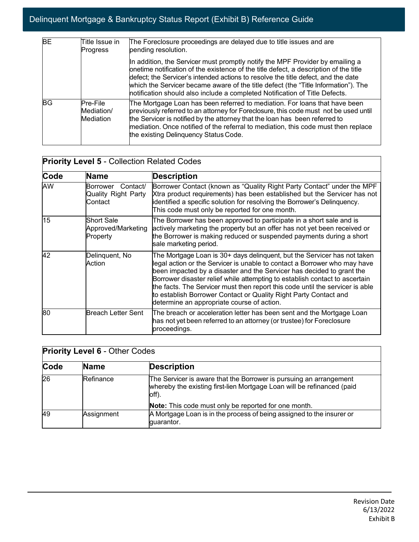| <b>BE</b> | Title Issue in<br><b>Progress</b>          | The Foreclosure proceedings are delayed due to title issues and are<br>pending resolution.                                                                                                                                                                                                                                                                                                                                       |
|-----------|--------------------------------------------|----------------------------------------------------------------------------------------------------------------------------------------------------------------------------------------------------------------------------------------------------------------------------------------------------------------------------------------------------------------------------------------------------------------------------------|
|           |                                            | In addition, the Servicer must promptly notify the MPF Provider by emailing a<br>onetime notification of the existence of the title defect, a description of the title<br>defect; the Servicer's intended actions to resolve the title defect, and the date<br>which the Servicer became aware of the title defect (the "Title Information"). The<br>notification should also include a completed Notification of Title Defects. |
| <b>BG</b> | Pre-File<br>Mediation/<br><b>Mediation</b> | The Mortgage Loan has been referred to mediation. For loans that have been<br>previously referred to an attorney for Foreclosure, this code must not be used until<br>the Servicer is notified by the attorney that the loan has been referred to<br>mediation. Once notified of the referral to mediation, this code must then replace<br>the existing Delinquency Status Code.                                                 |

| <b>Priority Level 5 - Collection Related Codes</b> |                                                               |                                                                                                                                                                                                                                                                                                                                                                                                                                                                                                                  |  |
|----------------------------------------------------|---------------------------------------------------------------|------------------------------------------------------------------------------------------------------------------------------------------------------------------------------------------------------------------------------------------------------------------------------------------------------------------------------------------------------------------------------------------------------------------------------------------------------------------------------------------------------------------|--|
| <b>Code</b>                                        | <b>Name</b>                                                   | <b>Description</b>                                                                                                                                                                                                                                                                                                                                                                                                                                                                                               |  |
| AW                                                 | Contact/<br>Borrower<br><b>Quality Right Party</b><br>Contact | Borrower Contact (known as "Quality Right Party Contact" under the MPF<br>Xtra product requirements) has been established but the Servicer has not<br>identified a specific solution for resolving the Borrower's Delinquency.<br>This code must only be reported for one month.                                                                                                                                                                                                                                 |  |
| 15                                                 | <b>Short Sale</b><br>Approved/Marketing<br>Property           | The Borrower has been approved to participate in a short sale and is<br>actively marketing the property but an offer has not yet been received or<br>the Borrower is making reduced or suspended payments during a short<br>sale marketing period.                                                                                                                                                                                                                                                               |  |
| 42                                                 | Delinquent, No<br>Action                                      | The Mortgage Loan is 30+ days delinquent, but the Servicer has not taken<br>legal action or the Servicer is unable to contact a Borrower who may have<br>been impacted by a disaster and the Servicer has decided to grant the<br>Borrower disaster relief while attempting to establish contact to ascertain<br>the facts. The Servicer must then report this code until the servicer is able<br>to establish Borrower Contact or Quality Right Party Contact and<br>determine an appropriate course of action. |  |
| 80                                                 | Breach Letter Sent                                            | The breach or acceleration letter has been sent and the Mortgage Loan<br>has not yet been referred to an attorney (or trustee) for Foreclosure<br>proceedings.                                                                                                                                                                                                                                                                                                                                                   |  |

| <b>Priority Level 6 - Other Codes</b> |             |                                                                                                                                                       |  |  |
|---------------------------------------|-------------|-------------------------------------------------------------------------------------------------------------------------------------------------------|--|--|
| Code                                  | <b>Name</b> | <b>Description</b>                                                                                                                                    |  |  |
| 26                                    | Refinance   | The Servicer is aware that the Borrower is pursuing an arrangement<br>whereby the existing first-lien Mortgage Loan will be refinanced (paid<br>off). |  |  |
|                                       |             | Note: This code must only be reported for one month.                                                                                                  |  |  |
| 49                                    | Assignment  | A Mortgage Loan is in the process of being assigned to the insurer or<br>quarantor.                                                                   |  |  |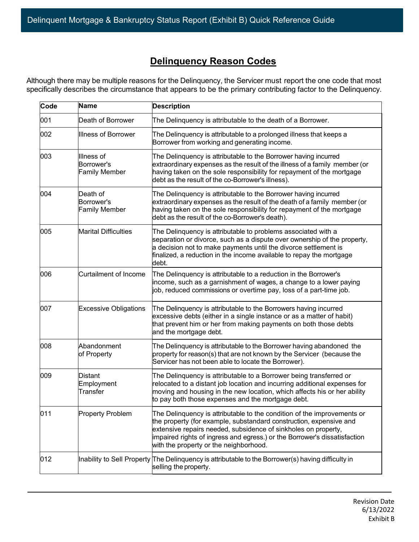# **Delinquency Reason Codes**

Although there may be multiple reasons for the Delinquency, the Servicer must report the one code that most specifically describes the circumstance that appears to be the primary contributing factor to the Delinquency.

| Code | Name                                             | <b>Description</b>                                                                                                                                                                                                                                                                                                                     |
|------|--------------------------------------------------|----------------------------------------------------------------------------------------------------------------------------------------------------------------------------------------------------------------------------------------------------------------------------------------------------------------------------------------|
| 001  | Death of Borrower                                | The Delinquency is attributable to the death of a Borrower.                                                                                                                                                                                                                                                                            |
| 002  | <b>Illness of Borrower</b>                       | The Delinquency is attributable to a prolonged illness that keeps a<br>Borrower from working and generating income.                                                                                                                                                                                                                    |
| 003  | Illness of<br>Borrower's<br><b>Family Member</b> | The Delinquency is attributable to the Borrower having incurred<br>extraordinary expenses as the result of the illness of a family member (or<br>having taken on the sole responsibility for repayment of the mortgage<br>debt as the result of the co-Borrower's illness).                                                            |
| 004  | Death of<br>Borrower's<br><b>Family Member</b>   | The Delinquency is attributable to the Borrower having incurred<br>extraordinary expenses as the result of the death of a family member (or<br>having taken on the sole responsibility for repayment of the mortgage<br>debt as the result of the co-Borrower's death).                                                                |
| 005  | <b>Marital Difficulties</b>                      | The Delinquency is attributable to problems associated with a<br>separation or divorce, such as a dispute over ownership of the property,<br>a decision not to make payments until the divorce settlement is<br>finalized, a reduction in the income available to repay the mortgage<br>debt.                                          |
| 006  | <b>Curtailment of Income</b>                     | The Delinquency is attributable to a reduction in the Borrower's<br>income, such as a garnishment of wages, a change to a lower paying<br>job, reduced commissions or overtime pay, loss of a part-time job.                                                                                                                           |
| 007  | <b>Excessive Obligations</b>                     | The Delinquency is attributable to the Borrowers having incurred<br>excessive debts (either in a single instance or as a matter of habit)<br>that prevent him or her from making payments on both those debts<br>and the mortgage debt.                                                                                                |
| 008  | Abandonment<br>of Property                       | The Delinquency is attributable to the Borrower having abandoned the<br>property for reason(s) that are not known by the Servicer (because the<br>Servicer has not been able to locate the Borrower).                                                                                                                                  |
| 009  | <b>Distant</b><br>Employment<br>Transfer         | The Delinquency is attributable to a Borrower being transferred or<br>relocated to a distant job location and incurring additional expenses for<br>moving and housing in the new location, which affects his or her ability<br>to pay both those expenses and the mortgage debt.                                                       |
| 011  | <b>Property Problem</b>                          | The Delinquency is attributable to the condition of the improvements or<br>the property (for example, substandard construction, expensive and<br>extensive repairs needed, subsidence of sinkholes on property,<br>impaired rights of ingress and egress.) or the Borrower's dissatisfaction<br>with the property or the neighborhood. |
| 012  |                                                  | Inability to Sell Property The Delinquency is attributable to the Borrower(s) having difficulty in<br>selling the property.                                                                                                                                                                                                            |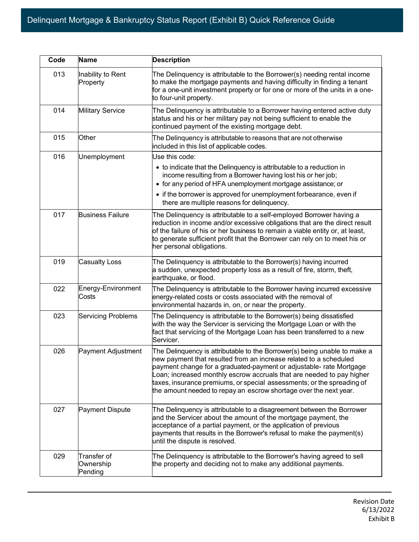| Code | <b>Name</b>                         | <b>Description</b>                                                                                                                                                                                                                                                                                                                                                                                                                            |
|------|-------------------------------------|-----------------------------------------------------------------------------------------------------------------------------------------------------------------------------------------------------------------------------------------------------------------------------------------------------------------------------------------------------------------------------------------------------------------------------------------------|
| 013  | Inability to Rent<br>Property       | The Delinquency is attributable to the Borrower(s) needing rental income<br>to make the mortgage payments and having difficulty in finding a tenant<br>for a one-unit investment property or for one or more of the units in a one-<br>to four-unit property.                                                                                                                                                                                 |
| 014  | <b>Military Service</b>             | The Delinquency is attributable to a Borrower having entered active duty<br>status and his or her military pay not being sufficient to enable the<br>continued payment of the existing mortgage debt.                                                                                                                                                                                                                                         |
| 015  | Other                               | The Delinquency is attributable to reasons that are not otherwise<br>included in this list of applicable codes.                                                                                                                                                                                                                                                                                                                               |
| 016  | Unemployment                        | Use this code:                                                                                                                                                                                                                                                                                                                                                                                                                                |
|      |                                     | • to indicate that the Delinquency is attributable to a reduction in<br>income resulting from a Borrower having lost his or her job;<br>• for any period of HFA unemployment mortgage assistance; or                                                                                                                                                                                                                                          |
|      |                                     | • if the borrower is approved for unemployment forbearance, even if<br>there are multiple reasons for delinquency.                                                                                                                                                                                                                                                                                                                            |
| 017  | <b>Business Failure</b>             | The Delinquency is attributable to a self-employed Borrower having a<br>reduction in income and/or excessive obligations that are the direct result<br>of the failure of his or her business to remain a viable entity or, at least,<br>to generate sufficient profit that the Borrower can rely on to meet his or<br>her personal obligations.                                                                                               |
| 019  | <b>Casualty Loss</b>                | The Delinquency is attributable to the Borrower(s) having incurred<br>a sudden, unexpected property loss as a result of fire, storm, theft,<br>earthquake, or flood.                                                                                                                                                                                                                                                                          |
| 022  | Energy-Environment<br>Costs         | The Delinquency is attributable to the Borrower having incurred excessive<br>energy-related costs or costs associated with the removal of<br>environmental hazards in, on, or near the property.                                                                                                                                                                                                                                              |
| 023  | <b>Servicing Problems</b>           | The Delinquency is attributable to the Borrower(s) being dissatisfied<br>with the way the Servicer is servicing the Mortgage Loan or with the<br>fact that servicing of the Mortgage Loan has been transferred to a new<br>Servicer.                                                                                                                                                                                                          |
| 026  | Payment Adjustment                  | The Delinquency is attributable to the Borrower(s) being unable to make a<br>new payment that resulted from an increase related to a scheduled<br>payment change for a graduated-payment or adjustable- rate Mortgage<br>Loan; increased monthly escrow accruals that are needed to pay higher<br>taxes, insurance premiums, or special assessments; or the spreading of<br>the amount needed to repay an escrow shortage over the next year. |
| 027  | <b>Payment Dispute</b>              | The Delinquency is attributable to a disagreement between the Borrower<br>and the Servicer about the amount of the mortgage payment, the<br>acceptance of a partial payment, or the application of previous<br>payments that results in the Borrower's refusal to make the payment(s)<br>until the dispute is resolved.                                                                                                                       |
| 029  | Transfer of<br>Ownership<br>Pending | The Delinquency is attributable to the Borrower's having agreed to sell<br>the property and deciding not to make any additional payments.                                                                                                                                                                                                                                                                                                     |